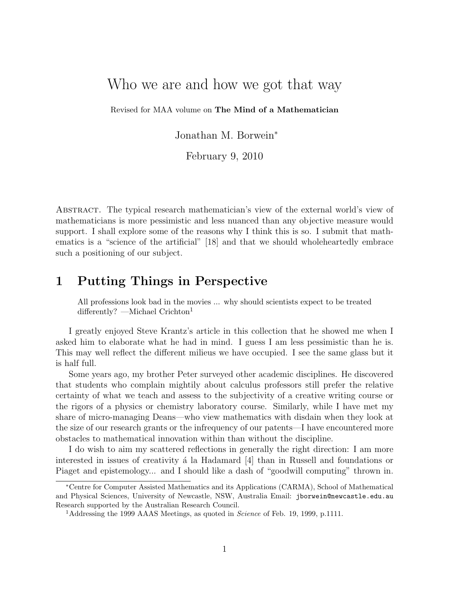# Who we are and how we got that way

Revised for MAA volume on The Mind of a Mathematician

Jonathan M. Borwein<sup>∗</sup>

February 9, 2010

Abstract. The typical research mathematician's view of the external world's view of mathematicians is more pessimistic and less nuanced than any objective measure would support. I shall explore some of the reasons why I think this is so. I submit that mathematics is a "science of the artificial" [18] and that we should wholeheartedly embrace such a positioning of our subject.

## 1 Putting Things in Perspective

All professions look bad in the movies ... why should scientists expect to be treated differently? —Michael Crichton<sup>1</sup>

I greatly enjoyed Steve Krantz's article in this collection that he showed me when I asked him to elaborate what he had in mind. I guess I am less pessimistic than he is. This may well reflect the different milieus we have occupied. I see the same glass but it is half full.

Some years ago, my brother Peter surveyed other academic disciplines. He discovered that students who complain mightily about calculus professors still prefer the relative certainty of what we teach and assess to the subjectivity of a creative writing course or the rigors of a physics or chemistry laboratory course. Similarly, while I have met my share of micro-managing Deans—who view mathematics with disdain when they look at the size of our research grants or the infrequency of our patents—I have encountered more obstacles to mathematical innovation within than without the discipline.

I do wish to aim my scattered reflections in generally the right direction: I am more interested in issues of creativity  $\acute{a}$  la Hadamard  $\acute{a}$  than in Russell and foundations or Piaget and epistemology... and I should like a dash of "goodwill computing" thrown in.

<sup>∗</sup>Centre for Computer Assisted Mathematics and its Applications (CARMA), School of Mathematical and Physical Sciences, University of Newcastle, NSW, Australia Email: jborwein@newcastle.edu.au Research supported by the Australian Research Council.

<sup>&</sup>lt;sup>1</sup>Addressing the 1999 AAAS Meetings, as quoted in *Science* of Feb. 19, 1999, p.1111.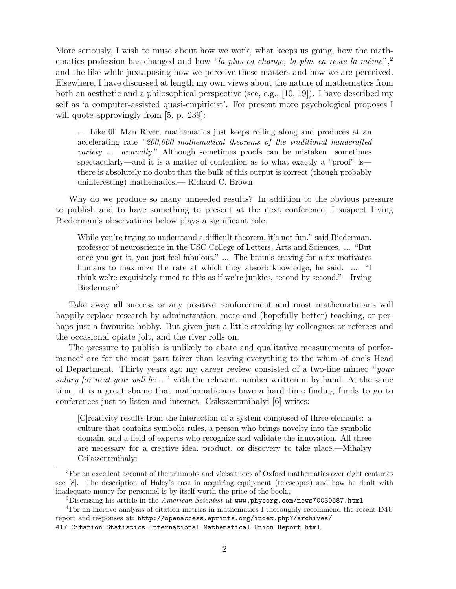More seriously, I wish to muse about how we work, what keeps us going, how the mathematics profession has changed and how "la plus ca change, la plus ca reste la même",  $\frac{2}{3}$ and the like while juxtaposing how we perceive these matters and how we are perceived. Elsewhere, I have discussed at length my own views about the nature of mathematics from both an aesthetic and a philosophical perspective (see, e.g., [10, 19]). I have described my self as 'a computer-assisted quasi-empiricist'. For present more psychological proposes I will quote approvingly from [5, p. 239]:

... Like 0l' Man River, mathematics just keeps rolling along and produces at an accelerating rate "200,000 mathematical theorems of the traditional handcrafted variety ... annually." Although sometimes proofs can be mistaken—sometimes spectacularly—and it is a matter of contention as to what exactly a "proof" is there is absolutely no doubt that the bulk of this output is correct (though probably uninteresting) mathematics.— Richard C. Brown

Why do we produce so many unneeded results? In addition to the obvious pressure to publish and to have something to present at the next conference, I suspect Irving Biederman's observations below plays a significant role.

While you're trying to understand a difficult theorem, it's not fun," said Biederman, professor of neuroscience in the USC College of Letters, Arts and Sciences. ... "But once you get it, you just feel fabulous." ... The brain's craving for a fix motivates humans to maximize the rate at which they absorb knowledge, he said. ... "I think we're exquisitely tuned to this as if we're junkies, second by second."—Irving Biederman<sup>3</sup>

Take away all success or any positive reinforcement and most mathematicians will happily replace research by administration, more and (hopefully better) teaching, or perhaps just a favourite hobby. But given just a little stroking by colleagues or referees and the occasional opiate jolt, and the river rolls on.

The pressure to publish is unlikely to abate and qualitative measurements of performance<sup>4</sup> are for the most part fairer than leaving everything to the whim of one's Head of Department. Thirty years ago my career review consisted of a two-line mimeo "your salary for next year will be  $\ldots$ " with the relevant number written in by hand. At the same time, it is a great shame that mathematicians have a hard time finding funds to go to conferences just to listen and interact. Csikszentmihalyi [6] writes:

[C]reativity results from the interaction of a system composed of three elements: a culture that contains symbolic rules, a person who brings novelty into the symbolic domain, and a field of experts who recognize and validate the innovation. All three are necessary for a creative idea, product, or discovery to take place.—Mihalyy Csikszentmihalyi

<sup>2</sup>For an excellent account of the triumphs and vicissitudes of Oxford mathematics over eight centuries see [8]. The description of Haley's ease in acquiring equipment (telescopes) and how he dealt with inadequate money for personnel is by itself worth the price of the book.,

<sup>&</sup>lt;sup>3</sup>Discussing his article in the *American Scientist* at www.physorg.com/news70030587.html

<sup>4</sup>For an incisive analysis of citation metrics in mathematics I thoroughly recommend the recent IMU report and responses at: http://openaccess.eprints.org/index.php?/archives/

<sup>417-</sup>Citation-Statistics-International-Mathematical-Union-Report.html.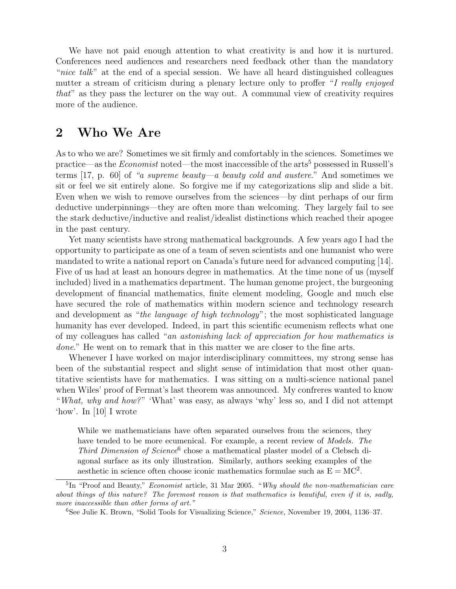We have not paid enough attention to what creativity is and how it is nurtured. Conferences need audiences and researchers need feedback other than the mandatory "nice talk" at the end of a special session. We have all heard distinguished colleagues mutter a stream of criticism during a plenary lecture only to proffer "I really enjoyed that" as they pass the lecturer on the way out. A communal view of creativity requires more of the audience.

## 2 Who We Are

As to who we are? Sometimes we sit firmly and comfortably in the sciences. Sometimes we practice—as the *Economist* noted—the most inaccessible of the  $arts^5$  possessed in Russell's terms [17, p. 60] of "a supreme beauty—a beauty cold and austere." And sometimes we sit or feel we sit entirely alone. So forgive me if my categorizations slip and slide a bit. Even when we wish to remove ourselves from the sciences—by dint perhaps of our firm deductive underpinnings—they are often more than welcoming. They largely fail to see the stark deductive/inductive and realist/idealist distinctions which reached their apogee in the past century.

Yet many scientists have strong mathematical backgrounds. A few years ago I had the opportunity to participate as one of a team of seven scientists and one humanist who were mandated to write a national report on Canada's future need for advanced computing [14]. Five of us had at least an honours degree in mathematics. At the time none of us (myself included) lived in a mathematics department. The human genome project, the burgeoning development of financial mathematics, finite element modeling, Google and much else have secured the role of mathematics within modern science and technology research and development as "*the language of high technology*"; the most sophisticated language humanity has ever developed. Indeed, in part this scientific ecumenism reflects what one of my colleagues has called "an astonishing lack of appreciation for how mathematics is done." He went on to remark that in this matter we are closer to the fine arts.

Whenever I have worked on major interdisciplinary committees, my strong sense has been of the substantial respect and slight sense of intimidation that most other quantitative scientists have for mathematics. I was sitting on a multi-science national panel when Wiles' proof of Fermat's last theorem was announced. My confreres wanted to know "What, why and how?" 'What' was easy, as always 'why' less so, and I did not attempt 'how'. In [10] I wrote

While we mathematicians have often separated ourselves from the sciences, they have tended to be more ecumenical. For example, a recent review of *Models. The* Third Dimension of Science<sup>6</sup> chose a mathematical plaster model of a Clebsch diagonal surface as its only illustration. Similarly, authors seeking examples of the aesthetic in science often choose iconic mathematics formulae such as  $E = MC^2$ .

<sup>&</sup>lt;sup>5</sup>In "Proof and Beauty," *Economist* article, 31 Mar 2005. "Why should the non-mathematician care about things of this nature? The foremost reason is that mathematics is beautiful, even if it is, sadly, more inaccessible than other forms of art."

<sup>6</sup>See Julie K. Brown, "Solid Tools for Visualizing Science," Science, November 19, 2004, 1136–37.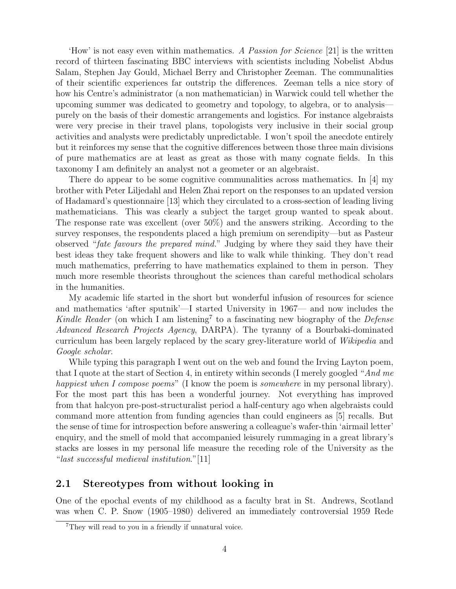'How' is not easy even within mathematics. A Passion for Science  $[21]$  is the written record of thirteen fascinating BBC interviews with scientists including Nobelist Abdus Salam, Stephen Jay Gould, Michael Berry and Christopher Zeeman. The communalities of their scientific experiences far outstrip the differences. Zeeman tells a nice story of how his Centre's administrator (a non mathematician) in Warwick could tell whether the upcoming summer was dedicated to geometry and topology, to algebra, or to analysis purely on the basis of their domestic arrangements and logistics. For instance algebraists were very precise in their travel plans, topologists very inclusive in their social group activities and analysts were predictably unpredictable. I won't spoil the anecdote entirely but it reinforces my sense that the cognitive differences between those three main divisions of pure mathematics are at least as great as those with many cognate fields. In this taxonomy I am definitely an analyst not a geometer or an algebraist.

There do appear to be some cognitive communalities across mathematics. In  $[4]$  my brother with Peter Liljedahl and Helen Zhai report on the responses to an updated version of Hadamard's questionnaire [13] which they circulated to a cross-section of leading living mathematicians. This was clearly a subject the target group wanted to speak about. The response rate was excellent (over 50%) and the answers striking. According to the survey responses, the respondents placed a high premium on serendipity—but as Pasteur observed "fate favours the prepared mind." Judging by where they said they have their best ideas they take frequent showers and like to walk while thinking. They don't read much mathematics, preferring to have mathematics explained to them in person. They much more resemble theorists throughout the sciences than careful methodical scholars in the humanities.

My academic life started in the short but wonderful infusion of resources for science and mathematics 'after sputnik'—I started University in 1967— and now includes the Kindle Reader (on which I am listening<sup>7</sup> to a fascinating new biography of the Defense Advanced Research Projects Agency, DARPA). The tyranny of a Bourbaki-dominated curriculum has been largely replaced by the scary grey-literature world of Wikipedia and Google scholar.

While typing this paragraph I went out on the web and found the Irving Layton poem, that I quote at the start of Section 4, in entirety within seconds (I merely googled "And me happiest when I compose poems" (I know the poem is somewhere in my personal library). For the most part this has been a wonderful journey. Not everything has improved from that halcyon pre-post-structuralist period a half-century ago when algebraists could command more attention from funding agencies than could engineers as [5] recalls. But the sense of time for introspection before answering a colleague's wafer-thin 'airmail letter' enquiry, and the smell of mold that accompanied leisurely rummaging in a great library's stacks are losses in my personal life measure the receding role of the University as the "last successful medieval institution."[11]

### 2.1 Stereotypes from without looking in

One of the epochal events of my childhood as a faculty brat in St. Andrews, Scotland was when C. P. Snow (1905–1980) delivered an immediately controversial 1959 Rede

<sup>7</sup>They will read to you in a friendly if unnatural voice.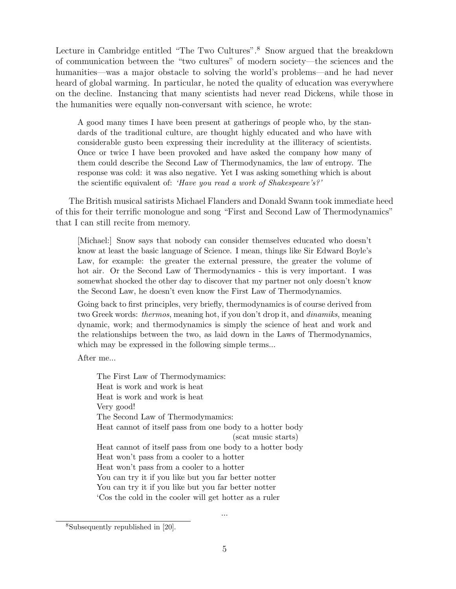Lecture in Cambridge entitled "The Two Cultures".<sup>8</sup> Snow argued that the breakdown of communication between the "two cultures" of modern society—the sciences and the humanities—was a major obstacle to solving the world's problems—and he had never heard of global warming. In particular, he noted the quality of education was everywhere on the decline. Instancing that many scientists had never read Dickens, while those in the humanities were equally non-conversant with science, he wrote:

A good many times I have been present at gatherings of people who, by the standards of the traditional culture, are thought highly educated and who have with considerable gusto been expressing their incredulity at the illiteracy of scientists. Once or twice I have been provoked and have asked the company how many of them could describe the Second Law of Thermodynamics, the law of entropy. The response was cold: it was also negative. Yet I was asking something which is about the scientific equivalent of: 'Have you read a work of Shakespeare's?'

The British musical satirists Michael Flanders and Donald Swann took immediate heed of this for their terrific monologue and song "First and Second Law of Thermodynamics" that I can still recite from memory.

[Michael:] Snow says that nobody can consider themselves educated who doesn't know at least the basic language of Science. I mean, things like Sir Edward Boyle's Law, for example: the greater the external pressure, the greater the volume of hot air. Or the Second Law of Thermodynamics - this is very important. I was somewhat shocked the other day to discover that my partner not only doesn't know the Second Law, he doesn't even know the First Law of Thermodynamics.

Going back to first principles, very briefly, thermodynamics is of course derived from two Greek words: *thermos*, meaning hot, if you don't drop it, and *dinamiks*, meaning dynamic, work; and thermodynamics is simply the science of heat and work and the relationships between the two, as laid down in the Laws of Thermodynamics, which may be expressed in the following simple terms...

After me...

The First Law of Thermodymamics: Heat is work and work is heat Heat is work and work is heat Very good! The Second Law of Thermodymamics: Heat cannot of itself pass from one body to a hotter body (scat music starts) Heat cannot of itself pass from one body to a hotter body Heat won't pass from a cooler to a hotter Heat won't pass from a cooler to a hotter You can try it if you like but you far better notter You can try it if you like but you far better notter 'Cos the cold in the cooler will get hotter as a ruler

...

<sup>8</sup>Subsequently republished in [20].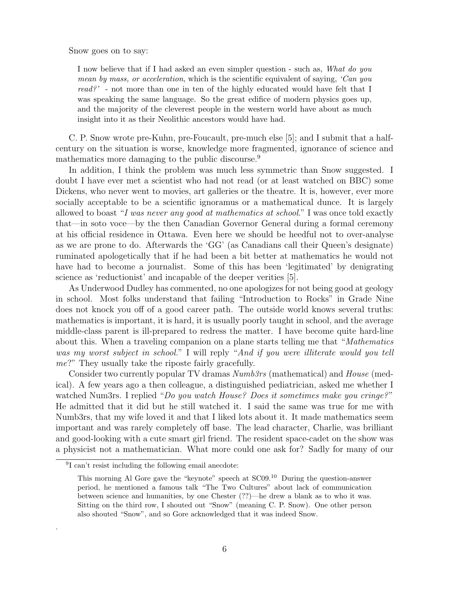Snow goes on to say:

I now believe that if I had asked an even simpler question - such as, What do you mean by mass, or acceleration, which is the scientific equivalent of saying, 'Can you read?' - not more than one in ten of the highly educated would have felt that I was speaking the same language. So the great edifice of modern physics goes up, and the majority of the cleverest people in the western world have about as much insight into it as their Neolithic ancestors would have had.

C. P. Snow wrote pre-Kuhn, pre-Foucault, pre-much else [5]; and I submit that a halfcentury on the situation is worse, knowledge more fragmented, ignorance of science and mathematics more damaging to the public discourse.<sup>9</sup>

In addition, I think the problem was much less symmetric than Snow suggested. I doubt I have ever met a scientist who had not read (or at least watched on BBC) some Dickens, who never went to movies, art galleries or the theatre. It is, however, ever more socially acceptable to be a scientific ignoramus or a mathematical dunce. It is largely allowed to boast "I was never any good at mathematics at school." I was once told exactly that—in soto voce—by the then Canadian Governor General during a formal ceremony at his official residence in Ottawa. Even here we should be heedful not to over-analyse as we are prone to do. Afterwards the 'GG' (as Canadians call their Queen's designate) ruminated apologetically that if he had been a bit better at mathematics he would not have had to become a journalist. Some of this has been 'legitimated' by denigrating science as 'reductionist' and incapable of the deeper verities [5].

As Underwood Dudley has commented, no one apologizes for not being good at geology in school. Most folks understand that failing "Introduction to Rocks" in Grade Nine does not knock you off of a good career path. The outside world knows several truths: mathematics is important, it is hard, it is usually poorly taught in school, and the average middle-class parent is ill-prepared to redress the matter. I have become quite hard-line about this. When a traveling companion on a plane starts telling me that "*Mathematics* was my worst subject in school." I will reply "And if you were illiterate would you tell me?" They usually take the riposte fairly gracefully.

Consider two currently popular TV dramas Numb3rs (mathematical) and House (medical). A few years ago a then colleague, a distinguished pediatrician, asked me whether I watched Num3rs. I replied "Do you watch House? Does it sometimes make you cringe?" He admitted that it did but he still watched it. I said the same was true for me with Numb3rs, that my wife loved it and that I liked lots about it. It made mathematics seem important and was rarely completely off base. The lead character, Charlie, was brilliant and good-looking with a cute smart girl friend. The resident space-cadet on the show was a physicist not a mathematician. What more could one ask for? Sadly for many of our

.

<sup>&</sup>lt;sup>9</sup>I can't resist including the following email anecdote:

This morning Al Gore gave the "keynote" speech at SC09.<sup>10</sup> During the question-answer period, he mentioned a famous talk "The Two Cultures" about lack of communication between science and humanities, by one Chester (??)—he drew a blank as to who it was. Sitting on the third row, I shouted out "Snow" (meaning C. P. Snow). One other person also shouted "Snow", and so Gore acknowledged that it was indeed Snow.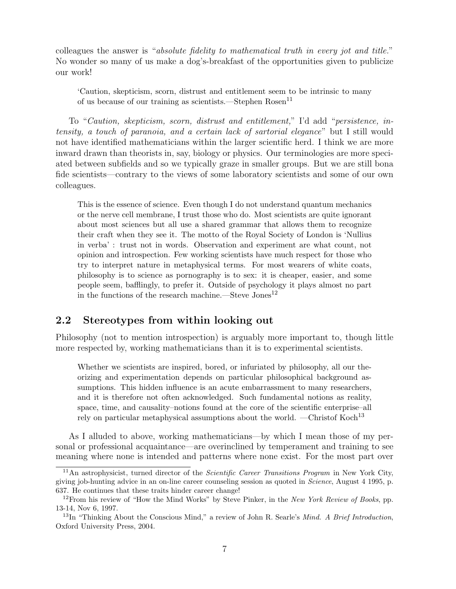colleagues the answer is "absolute fidelity to mathematical truth in every jot and title." No wonder so many of us make a dog's-breakfast of the opportunities given to publicize our work!

'Caution, skepticism, scorn, distrust and entitlement seem to be intrinsic to many of us because of our training as scientists.—Stephen  $Rosen<sup>11</sup>$ 

To "Caution, skepticism, scorn, distrust and entitlement," I'd add "persistence, intensity, a touch of paranoia, and a certain lack of sartorial elegance" but I still would not have identified mathematicians within the larger scientific herd. I think we are more inward drawn than theorists in, say, biology or physics. Our terminologies are more speciated between subfields and so we typically graze in smaller groups. But we are still bona fide scientists—contrary to the views of some laboratory scientists and some of our own colleagues.

This is the essence of science. Even though I do not understand quantum mechanics or the nerve cell membrane, I trust those who do. Most scientists are quite ignorant about most sciences but all use a shared grammar that allows them to recognize their craft when they see it. The motto of the Royal Society of London is 'Nullius in verba' : trust not in words. Observation and experiment are what count, not opinion and introspection. Few working scientists have much respect for those who try to interpret nature in metaphysical terms. For most wearers of white coats, philosophy is to science as pornography is to sex: it is cheaper, easier, and some people seem, bafflingly, to prefer it. Outside of psychology it plays almost no part in the functions of the research machine.—Steve Jones<sup>12</sup>

### 2.2 Stereotypes from within looking out

Philosophy (not to mention introspection) is arguably more important to, though little more respected by, working mathematicians than it is to experimental scientists.

Whether we scientists are inspired, bored, or infuriated by philosophy, all our theorizing and experimentation depends on particular philosophical background assumptions. This hidden influence is an acute embarrassment to many researchers, and it is therefore not often acknowledged. Such fundamental notions as reality, space, time, and causality–notions found at the core of the scientific enterprise–all rely on particular metaphysical assumptions about the world. —Christof Koch<sup>13</sup>

As I alluded to above, working mathematicians—by which I mean those of my personal or professional acquaintance—are overinclined by temperament and training to see meaning where none is intended and patterns where none exist. For the most part over

 $11$ An astrophysicist, turned director of the *Scientific Career Transitions Program* in New York City, giving job-hunting advice in an on-line career counseling session as quoted in Science, August 4 1995, p. 637. He continues that these traits hinder career change!

<sup>&</sup>lt;sup>12</sup> From his review of "How the Mind Works" by Steve Pinker, in the New York Review of Books, pp. 13-14, Nov 6, 1997.

 $^{13}$ In "Thinking About the Conscious Mind," a review of John R. Searle's *Mind. A Brief Introduction*, Oxford University Press, 2004.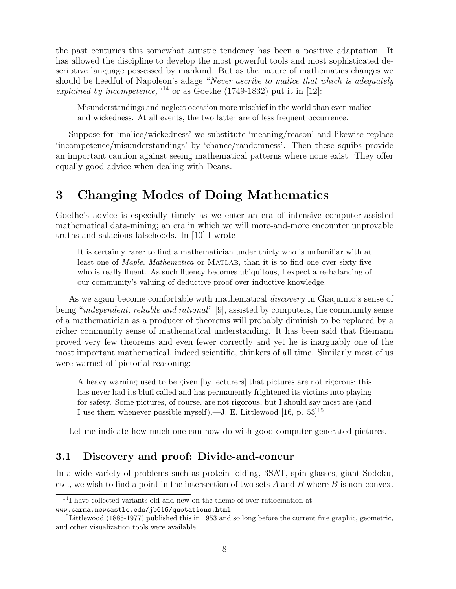the past centuries this somewhat autistic tendency has been a positive adaptation. It has allowed the discipline to develop the most powerful tools and most sophisticated descriptive language possessed by mankind. But as the nature of mathematics changes we should be heedful of Napoleon's adage "Never ascribe to malice that which is adequately explained by incompetence,  $^{n14}$  or as Goethe (1749-1832) put it in [12]:

Misunderstandings and neglect occasion more mischief in the world than even malice and wickedness. At all events, the two latter are of less frequent occurrence.

Suppose for 'malice/wickedness' we substitute 'meaning/reason' and likewise replace 'incompetence/misunderstandings' by 'chance/randomness'. Then these squibs provide an important caution against seeing mathematical patterns where none exist. They offer equally good advice when dealing with Deans.

# 3 Changing Modes of Doing Mathematics

Goethe's advice is especially timely as we enter an era of intensive computer-assisted mathematical data-mining; an era in which we will more-and-more encounter unprovable truths and salacious falsehoods. In [10] I wrote

It is certainly rarer to find a mathematician under thirty who is unfamiliar with at least one of *Maple, Mathematica* or MATLAB, than it is to find one over sixty five who is really fluent. As such fluency becomes ubiquitous, I expect a re-balancing of our community's valuing of deductive proof over inductive knowledge.

As we again become comfortable with mathematical *discovery* in Giaquinto's sense of being "independent, reliable and rational" [9], assisted by computers, the community sense of a mathematician as a producer of theorems will probably diminish to be replaced by a richer community sense of mathematical understanding. It has been said that Riemann proved very few theorems and even fewer correctly and yet he is inarguably one of the most important mathematical, indeed scientific, thinkers of all time. Similarly most of us were warned off pictorial reasoning:

A heavy warning used to be given [by lecturers] that pictures are not rigorous; this has never had its bluff called and has permanently frightened its victims into playing for safety. Some pictures, of course, are not rigorous, but I should say most are (and I use them whenever possible myself).—J. E. Littlewood [16, p.  $53$ ]<sup>15</sup>

Let me indicate how much one can now do with good computer-generated pictures.

### 3.1 Discovery and proof: Divide-and-concur

In a wide variety of problems such as protein folding, 3SAT, spin glasses, giant Sodoku, etc., we wish to find a point in the intersection of two sets  $A$  and  $B$  where  $B$  is non-convex.

<sup>14</sup>I have collected variants old and new on the theme of over-ratiocination at www.carma.newcastle.edu/jb616/quotations.html

<sup>&</sup>lt;sup>15</sup>Littlewood (1885-1977) published this in 1953 and so long before the current fine graphic, geometric, and other visualization tools were available.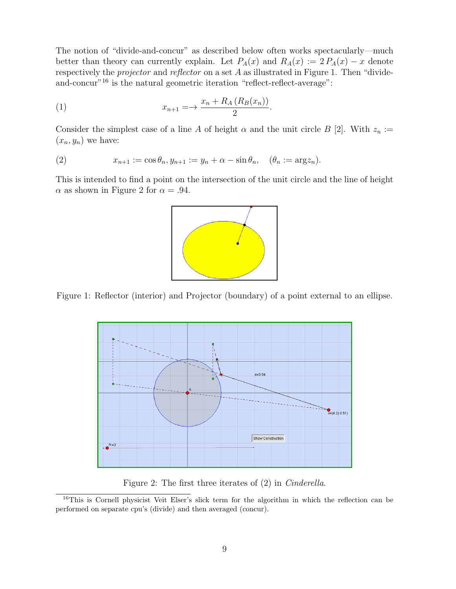The notion of "divide-and-concur" as described below often works spectacularly—much better than theory can currently explain. Let  $P_A(x)$  and  $R_A(x) := 2 P_A(x) - x$  denote respectively the projector and reflector on a set A as illustrated in Figure 1. Then "divideand-concur"<sup>16</sup> is the natural geometric iteration "reflect-reflect-average":

(1) 
$$
x_{n+1} \longrightarrow \frac{x_n + R_A(R_B(x_n))}{2}.
$$

Consider the simplest case of a line A of height  $\alpha$  and the unit circle B [2]. With  $z_n :=$  $(x_n, y_n)$  we have:

(2) 
$$
x_{n+1} := \cos \theta_n, y_{n+1} := y_n + \alpha - \sin \theta_n, \quad (\theta_n := \arg z_n).
$$

This is intended to find a point on the intersection of the unit circle and the line of height  $\alpha$  as shown in Figure 2 for  $\alpha = .94$ .



Figure 1: Reflector (interior) and Projector (boundary) of a point external to an ellipse.



Figure 2: The first three iterates of (2) in Cinderella.

<sup>&</sup>lt;sup>16</sup>This is Cornell physicist Veit Elser's slick term for the algorithm in which the reflection can be performed on separate cpu's (divide) and then averaged (concur).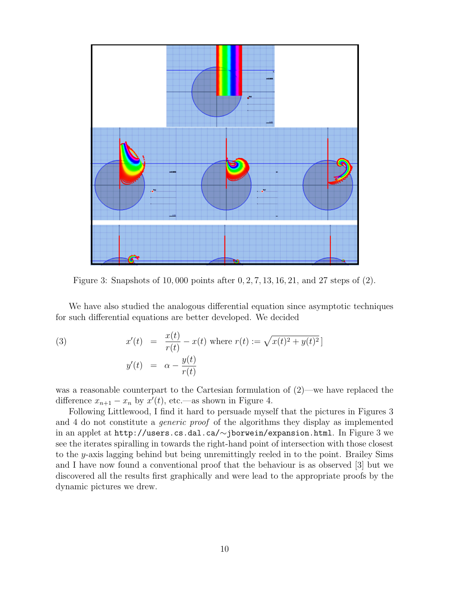

Figure 3: Snapshots of 10, 000 points after 0, 2, 7, 13, 16, 21, and 27 steps of (2).

We have also studied the analogous differential equation since asymptotic techniques for such differential equations are better developed. We decided

(3) 
$$
x'(t) = \frac{x(t)}{r(t)} - x(t) \text{ where } r(t) := \sqrt{x(t)^2 + y(t)^2}
$$

$$
y'(t) = \alpha - \frac{y(t)}{r(t)}
$$

was a reasonable counterpart to the Cartesian formulation of (2)—we have replaced the difference  $x_{n+1} - x_n$  by  $x'(t)$ , etc.—as shown in Figure 4.

Following Littlewood, I find it hard to persuade myself that the pictures in Figures 3 and 4 do not constitute a generic proof of the algorithms they display as implemented in an applet at http://users.cs.dal.ca/∼jborwein/expansion.html. In Figure 3 we see the iterates spiralling in towards the right-hand point of intersection with those closest to the y-axis lagging behind but being unremittingly reeled in to the point. Brailey Sims and I have now found a conventional proof that the behaviour is as observed [3] but we discovered all the results first graphically and were lead to the appropriate proofs by the dynamic pictures we drew.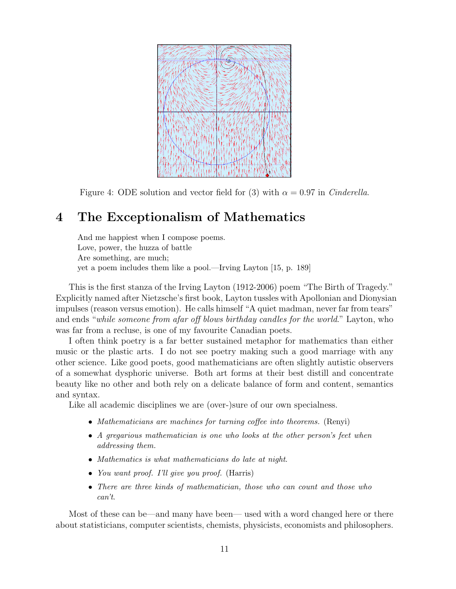

Figure 4: ODE solution and vector field for (3) with  $\alpha = 0.97$  in *Cinderella*.

# 4 The Exceptionalism of Mathematics

And me happiest when I compose poems. Love, power, the huzza of battle Are something, are much; yet a poem includes them like a pool.—Irving Layton [15, p. 189]

This is the first stanza of the Irving Layton (1912-2006) poem "The Birth of Tragedy." Explicitly named after Nietzsche's first book, Layton tussles with Apollonian and Dionysian impulses (reason versus emotion). He calls himself "A quiet madman, never far from tears" and ends "while someone from afar off blows birthday candles for the world." Layton, who was far from a recluse, is one of my favourite Canadian poets.

I often think poetry is a far better sustained metaphor for mathematics than either music or the plastic arts. I do not see poetry making such a good marriage with any other science. Like good poets, good mathematicians are often slightly autistic observers of a somewhat dysphoric universe. Both art forms at their best distill and concentrate beauty like no other and both rely on a delicate balance of form and content, semantics and syntax.

Like all academic disciplines we are (over-)sure of our own specialness.

- Mathematicians are machines for turning coffee into theorems. (Renyi)
- A gregarious mathematician is one who looks at the other person's feet when addressing them.
- Mathematics is what mathematicians do late at night.
- You want proof. I'll give you proof. (Harris)
- There are three kinds of mathematician, those who can count and those who can't.

Most of these can be—and many have been— used with a word changed here or there about statisticians, computer scientists, chemists, physicists, economists and philosophers.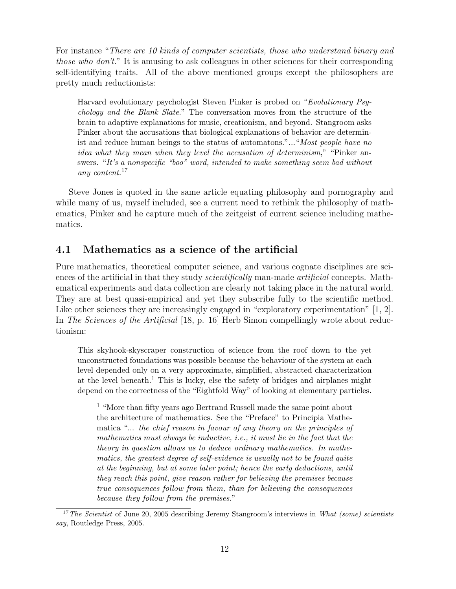For instance "There are 10 kinds of computer scientists, those who understand binary and those who don't." It is amusing to ask colleagues in other sciences for their corresponding self-identifying traits. All of the above mentioned groups except the philosophers are pretty much reductionists:

Harvard evolutionary psychologist Steven Pinker is probed on "Evolutionary Psychology and the Blank Slate." The conversation moves from the structure of the brain to adaptive explanations for music, creationism, and beyond. Stangroom asks Pinker about the accusations that biological explanations of behavior are determinist and reduce human beings to the status of automatons."..."Most people have no idea what they mean when they level the accusation of determinism," "Pinker answers. "It's a nonspecific "boo" word, intended to make something seem bad without any content.<sup>17</sup>

Steve Jones is quoted in the same article equating philosophy and pornography and while many of us, myself included, see a current need to rethink the philosophy of mathematics, Pinker and he capture much of the zeitgeist of current science including mathematics.

### 4.1 Mathematics as a science of the artificial

Pure mathematics, theoretical computer science, and various cognate disciplines are sciences of the artificial in that they study *scientifically* man-made *artificial* concepts. Mathematical experiments and data collection are clearly not taking place in the natural world. They are at best quasi-empirical and yet they subscribe fully to the scientific method. Like other sciences they are increasingly engaged in "exploratory experimentation" [1, 2]. In The Sciences of the Artificial [18, p. 16] Herb Simon compellingly wrote about reductionism:

This skyhook-skyscraper construction of science from the roof down to the yet unconstructed foundations was possible because the behaviour of the system at each level depended only on a very approximate, simplified, abstracted characterization at the level beneath.<sup>1</sup> This is lucky, else the safety of bridges and airplanes might depend on the correctness of the "Eightfold Way" of looking at elementary particles.

<sup>1</sup> "More than fifty years ago Bertrand Russell made the same point about the architecture of mathematics. See the "Preface" to Principia Mathematica "... the chief reason in favour of any theory on the principles of mathematics must always be inductive, i.e., it must lie in the fact that the theory in question allows us to deduce ordinary mathematics. In mathematics, the greatest degree of self-evidence is usually not to be found quite at the beginning, but at some later point; hence the early deductions, until they reach this point, give reason rather for believing the premises because true consequences follow from them, than for believing the consequences because they follow from the premises."

<sup>&</sup>lt;sup>17</sup>The Scientist of June 20, 2005 describing Jeremy Stangroom's interviews in What (some) scientists say, Routledge Press, 2005.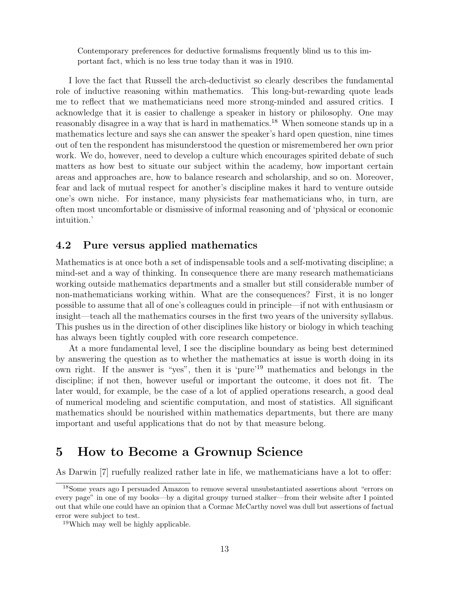Contemporary preferences for deductive formalisms frequently blind us to this important fact, which is no less true today than it was in 1910.

I love the fact that Russell the arch-deductivist so clearly describes the fundamental role of inductive reasoning within mathematics. This long-but-rewarding quote leads me to reflect that we mathematicians need more strong-minded and assured critics. I acknowledge that it is easier to challenge a speaker in history or philosophy. One may reasonably disagree in a way that is hard in mathematics.<sup>18</sup> When someone stands up in a mathematics lecture and says she can answer the speaker's hard open question, nine times out of ten the respondent has misunderstood the question or misremembered her own prior work. We do, however, need to develop a culture which encourages spirited debate of such matters as how best to situate our subject within the academy, how important certain areas and approaches are, how to balance research and scholarship, and so on. Moreover, fear and lack of mutual respect for another's discipline makes it hard to venture outside one's own niche. For instance, many physicists fear mathematicians who, in turn, are often most uncomfortable or dismissive of informal reasoning and of 'physical or economic intuition.'

#### 4.2 Pure versus applied mathematics

Mathematics is at once both a set of indispensable tools and a self-motivating discipline; a mind-set and a way of thinking. In consequence there are many research mathematicians working outside mathematics departments and a smaller but still considerable number of non-mathematicians working within. What are the consequences? First, it is no longer possible to assume that all of one's colleagues could in principle—if not with enthusiasm or insight—teach all the mathematics courses in the first two years of the university syllabus. This pushes us in the direction of other disciplines like history or biology in which teaching has always been tightly coupled with core research competence.

At a more fundamental level, I see the discipline boundary as being best determined by answering the question as to whether the mathematics at issue is worth doing in its own right. If the answer is "yes", then it is 'pure'<sup>19</sup> mathematics and belongs in the discipline; if not then, however useful or important the outcome, it does not fit. The later would, for example, be the case of a lot of applied operations research, a good deal of numerical modeling and scientific computation, and most of statistics. All significant mathematics should be nourished within mathematics departments, but there are many important and useful applications that do not by that measure belong.

## 5 How to Become a Grownup Science

As Darwin [7] ruefully realized rather late in life, we mathematicians have a lot to offer:

<sup>18</sup>Some years ago I persuaded Amazon to remove several unsubstantiated assertions about "errors on every page" in one of my books—by a digital groupy turned stalker—from their website after I pointed out that while one could have an opinion that a Cormac McCarthy novel was dull but assertions of factual error were subject to test.

<sup>19</sup>Which may well be highly applicable.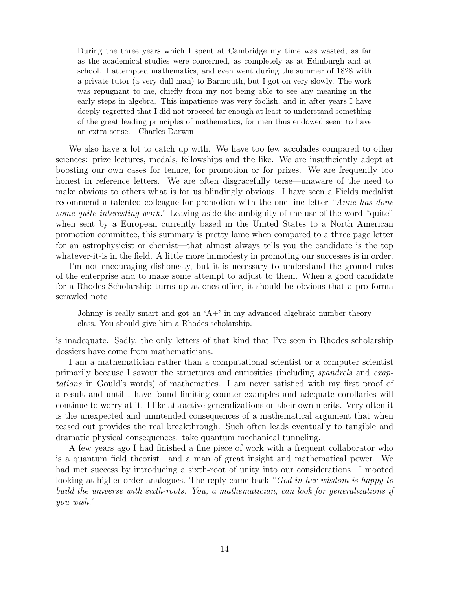During the three years which I spent at Cambridge my time was wasted, as far as the academical studies were concerned, as completely as at Edinburgh and at school. I attempted mathematics, and even went during the summer of 1828 with a private tutor (a very dull man) to Barmouth, but I got on very slowly. The work was repugnant to me, chiefly from my not being able to see any meaning in the early steps in algebra. This impatience was very foolish, and in after years I have deeply regretted that I did not proceed far enough at least to understand something of the great leading principles of mathematics, for men thus endowed seem to have an extra sense.—Charles Darwin

We also have a lot to catch up with. We have too few accolades compared to other sciences: prize lectures, medals, fellowships and the like. We are insufficiently adept at boosting our own cases for tenure, for promotion or for prizes. We are frequently too honest in reference letters. We are often disgracefully terse—unaware of the need to make obvious to others what is for us blindingly obvious. I have seen a Fields medalist recommend a talented colleague for promotion with the one line letter "Anne has done some quite interesting work." Leaving aside the ambiguity of the use of the word "quite" when sent by a European currently based in the United States to a North American promotion committee, this summary is pretty lame when compared to a three page letter for an astrophysicist or chemist—that almost always tells you the candidate is the top whatever-it-is in the field. A little more immodesty in promoting our successes is in order.

I'm not encouraging dishonesty, but it is necessary to understand the ground rules of the enterprise and to make some attempt to adjust to them. When a good candidate for a Rhodes Scholarship turns up at ones office, it should be obvious that a pro forma scrawled note

Johnny is really smart and got an 'A+' in my advanced algebraic number theory class. You should give him a Rhodes scholarship.

is inadequate. Sadly, the only letters of that kind that I've seen in Rhodes scholarship dossiers have come from mathematicians.

I am a mathematician rather than a computational scientist or a computer scientist primarily because I savour the structures and curiosities (including spandrels and exaptations in Gould's words) of mathematics. I am never satisfied with my first proof of a result and until I have found limiting counter-examples and adequate corollaries will continue to worry at it. I like attractive generalizations on their own merits. Very often it is the unexpected and unintended consequences of a mathematical argument that when teased out provides the real breakthrough. Such often leads eventually to tangible and dramatic physical consequences: take quantum mechanical tunneling.

A few years ago I had finished a fine piece of work with a frequent collaborator who is a quantum field theorist—and a man of great insight and mathematical power. We had met success by introducing a sixth-root of unity into our considerations. I mooted looking at higher-order analogues. The reply came back "God in her wisdom is happy to build the universe with sixth-roots. You, a mathematician, can look for generalizations if you wish."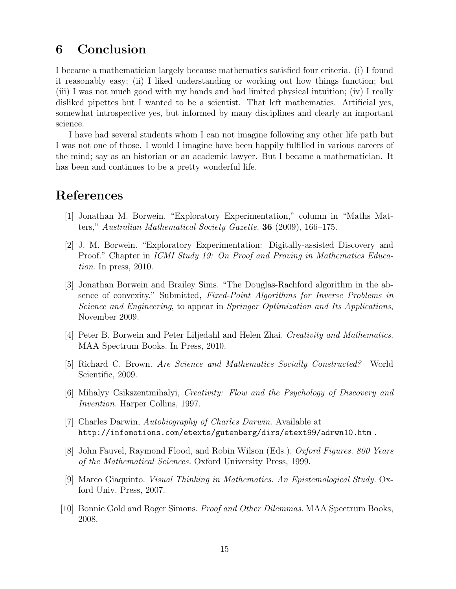## 6 Conclusion

I became a mathematician largely because mathematics satisfied four criteria. (i) I found it reasonably easy; (ii) I liked understanding or working out how things function; but (iii) I was not much good with my hands and had limited physical intuition; (iv) I really disliked pipettes but I wanted to be a scientist. That left mathematics. Artificial yes, somewhat introspective yes, but informed by many disciplines and clearly an important science.

I have had several students whom I can not imagine following any other life path but I was not one of those. I would I imagine have been happily fulfilled in various careers of the mind; say as an historian or an academic lawyer. But I became a mathematician. It has been and continues to be a pretty wonderful life.

## References

- [1] Jonathan M. Borwein. "Exploratory Experimentation," column in "Maths Matters," Australian Mathematical Society Gazette. 36 (2009), 166–175.
- [2] J. M. Borwein. "Exploratory Experimentation: Digitally-assisted Discovery and Proof." Chapter in *ICMI Study 19: On Proof and Proving in Mathematics Educa*tion. In press, 2010.
- [3] Jonathan Borwein and Brailey Sims. "The Douglas-Rachford algorithm in the absence of convexity." Submitted, Fixed-Point Algorithms for Inverse Problems in Science and Engineering, to appear in Springer Optimization and Its Applications, November 2009.
- [4] Peter B. Borwein and Peter Liljedahl and Helen Zhai. Creativity and Mathematics. MAA Spectrum Books. In Press, 2010.
- [5] Richard C. Brown. Are Science and Mathematics Socially Constructed? World Scientific, 2009.
- [6] Mihalyy Csikszentmihalyi, Creativity: Flow and the Psychology of Discovery and Invention. Harper Collins, 1997.
- [7] Charles Darwin, Autobiography of Charles Darwin. Available at http://infomotions.com/etexts/gutenberg/dirs/etext99/adrwn10.htm .
- [8] John Fauvel, Raymond Flood, and Robin Wilson (Eds.). Oxford Figures. 800 Years of the Mathematical Sciences. Oxford University Press, 1999.
- [9] Marco Giaquinto. Visual Thinking in Mathematics. An Epistemological Study. Oxford Univ. Press, 2007.
- [10] Bonnie Gold and Roger Simons. Proof and Other Dilemmas. MAA Spectrum Books, 2008.